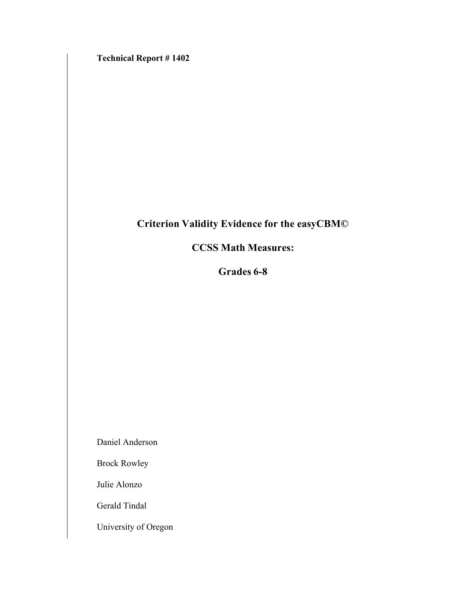**Technical Report # 1402**

# **Criterion Validity Evidence for the easyCBM©**

# **CCSS Math Measures:**

**Grades 6-8**

Daniel Anderson

Brock Rowley

Julie Alonzo

Gerald Tindal

University of Oregon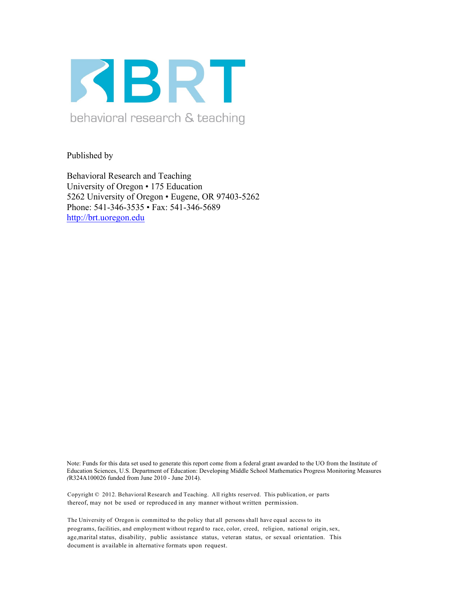

Published by

Behavioral Research and Teaching University of Oregon • 175 Education 5262 University of Oregon • Eugene, OR 97403-5262 Phone: 541-346-3535 • Fax: 541-346-5689 http://brt.uoregon.edu

Note: Funds for this data set used to generate this report come from a federal grant awarded to the UO from the Institute of Education Sciences, U.S. Department of Education: Developing Middle School Mathematics Progress Monitoring Measures *(*R324A100026 funded from June 2010 - June 2014).

Copyright © 2012. Behavioral Research and Teaching. All rights reserved. This publication, or parts thereof, may not be used or reproduced in any manner without written permission.

The University of Oregon is committed to the policy that all persons shall have equal access to its programs, facilities, and employment without regard to race, color, creed, religion, national origin, sex, age,marital status, disability, public assistance status, veteran status, or sexual orientation. This document is available in alternative formats upon request.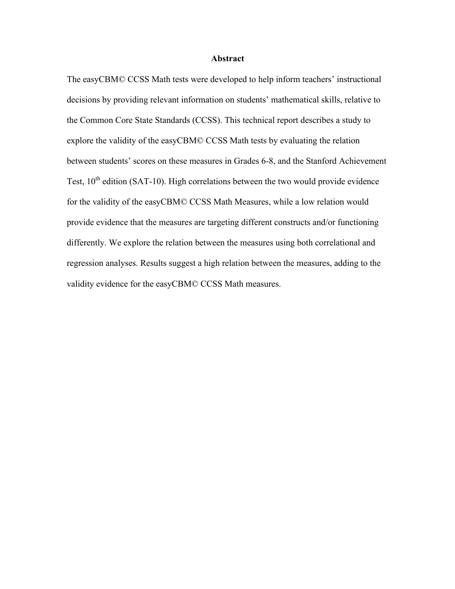## **Abstract**

The easyCBM© CCSS Math tests were developed to help inform teachers' instructional decisions by providing relevant information on students' mathematical skills, relative to the Common Core State Standards (CCSS). This technical report describes a study to explore the validity of the easyCBM© CCSS Math tests by evaluating the relation between students' scores on these measures in Grades 6-8, and the Stanford Achievement Test,  $10^{th}$  edition (SAT-10). High correlations between the two would provide evidence for the validity of the easyCBM© CCSS Math Measures, while a low relation would provide evidence that the measures are targeting different constructs and/or functioning differently. We explore the relation between the measures using both correlational and regression analyses. Results suggest a high relation between the measures, adding to the validity evidence for the easyCBM© CCSS Math measures.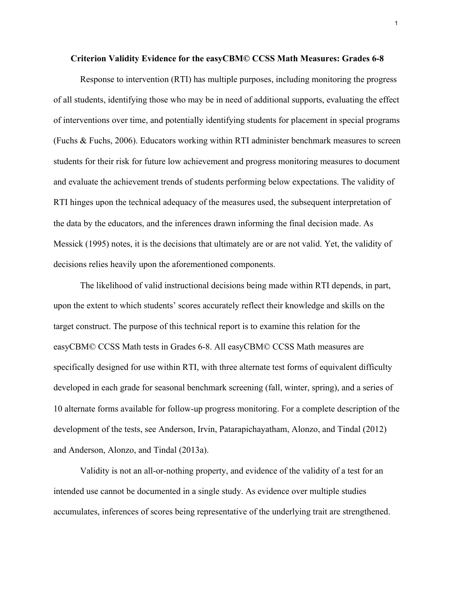#### **Criterion Validity Evidence for the easyCBM© CCSS Math Measures: Grades 6-8**

Response to intervention (RTI) has multiple purposes, including monitoring the progress of all students, identifying those who may be in need of additional supports, evaluating the effect of interventions over time, and potentially identifying students for placement in special programs (Fuchs & Fuchs, 2006). Educators working within RTI administer benchmark measures to screen students for their risk for future low achievement and progress monitoring measures to document and evaluate the achievement trends of students performing below expectations. The validity of RTI hinges upon the technical adequacy of the measures used, the subsequent interpretation of the data by the educators, and the inferences drawn informing the final decision made. As Messick (1995) notes, it is the decisions that ultimately are or are not valid. Yet, the validity of decisions relies heavily upon the aforementioned components.

The likelihood of valid instructional decisions being made within RTI depends, in part, upon the extent to which students' scores accurately reflect their knowledge and skills on the target construct. The purpose of this technical report is to examine this relation for the easyCBM© CCSS Math tests in Grades 6-8. All easyCBM© CCSS Math measures are specifically designed for use within RTI, with three alternate test forms of equivalent difficulty developed in each grade for seasonal benchmark screening (fall, winter, spring), and a series of 10 alternate forms available for follow-up progress monitoring. For a complete description of the development of the tests, see Anderson, Irvin, Patarapichayatham, Alonzo, and Tindal (2012) and Anderson, Alonzo, and Tindal (2013a).

Validity is not an all-or-nothing property, and evidence of the validity of a test for an intended use cannot be documented in a single study. As evidence over multiple studies accumulates, inferences of scores being representative of the underlying trait are strengthened.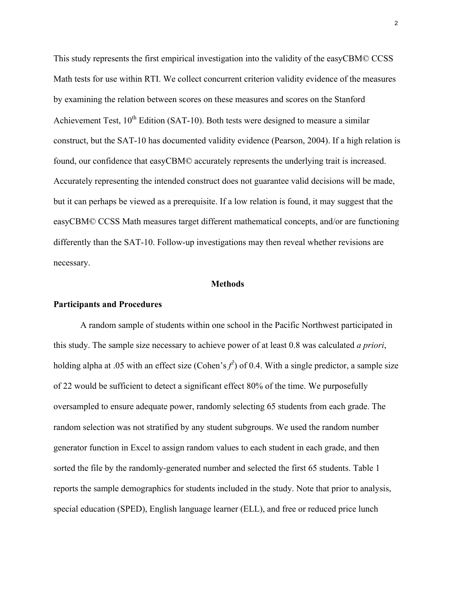This study represents the first empirical investigation into the validity of the easyCBM© CCSS Math tests for use within RTI. We collect concurrent criterion validity evidence of the measures by examining the relation between scores on these measures and scores on the Stanford Achievement Test,  $10^{th}$  Edition (SAT-10). Both tests were designed to measure a similar construct, but the SAT-10 has documented validity evidence (Pearson, 2004). If a high relation is found, our confidence that easyCBM© accurately represents the underlying trait is increased. Accurately representing the intended construct does not guarantee valid decisions will be made, but it can perhaps be viewed as a prerequisite. If a low relation is found, it may suggest that the easyCBM© CCSS Math measures target different mathematical concepts, and/or are functioning differently than the SAT-10. Follow-up investigations may then reveal whether revisions are necessary.

## **Methods**

## **Participants and Procedures**

A random sample of students within one school in the Pacific Northwest participated in this study. The sample size necessary to achieve power of at least 0.8 was calculated *a priori*, holding alpha at .05 with an effect size (Cohen's  $f^2$ ) of 0.4. With a single predictor, a sample size of 22 would be sufficient to detect a significant effect 80% of the time. We purposefully oversampled to ensure adequate power, randomly selecting 65 students from each grade. The random selection was not stratified by any student subgroups. We used the random number generator function in Excel to assign random values to each student in each grade, and then sorted the file by the randomly-generated number and selected the first 65 students. Table 1 reports the sample demographics for students included in the study. Note that prior to analysis, special education (SPED), English language learner (ELL), and free or reduced price lunch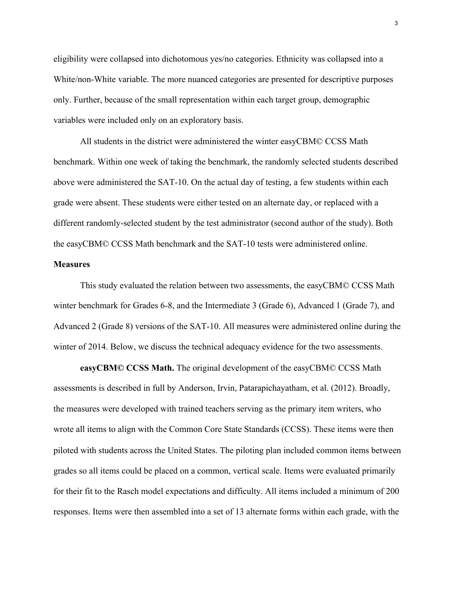eligibility were collapsed into dichotomous yes/no categories. Ethnicity was collapsed into a White/non-White variable. The more nuanced categories are presented for descriptive purposes only. Further, because of the small representation within each target group, demographic variables were included only on an exploratory basis.

All students in the district were administered the winter easyCBM© CCSS Math benchmark. Within one week of taking the benchmark, the randomly selected students described above were administered the SAT-10. On the actual day of testing, a few students within each grade were absent. These students were either tested on an alternate day, or replaced with a different randomly-selected student by the test administrator (second author of the study). Both the easyCBM© CCSS Math benchmark and the SAT-10 tests were administered online.

## **Measures**

This study evaluated the relation between two assessments, the easyCBM© CCSS Math winter benchmark for Grades 6-8, and the Intermediate 3 (Grade 6), Advanced 1 (Grade 7), and Advanced 2 (Grade 8) versions of the SAT-10. All measures were administered online during the winter of 2014. Below, we discuss the technical adequacy evidence for the two assessments.

**easyCBM© CCSS Math.** The original development of the easyCBM© CCSS Math assessments is described in full by Anderson, Irvin, Patarapichayatham, et al. (2012). Broadly, the measures were developed with trained teachers serving as the primary item writers, who wrote all items to align with the Common Core State Standards (CCSS). These items were then piloted with students across the United States. The piloting plan included common items between grades so all items could be placed on a common, vertical scale. Items were evaluated primarily for their fit to the Rasch model expectations and difficulty. All items included a minimum of 200 responses. Items were then assembled into a set of 13 alternate forms within each grade, with the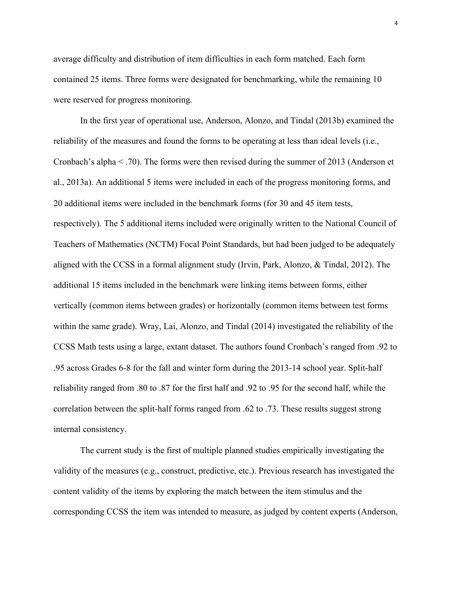average difficulty and distribution of item difficulties in each form matched. Each form contained 25 items. Three forms were designated for benchmarking, while the remaining 10 were reserved for progress monitoring.

In the first year of operational use, Anderson, Alonzo, and Tindal (2013b) examined the reliability of the measures and found the forms to be operating at less than ideal levels (i.e., Cronbach's alpha < .70). The forms were then revised during the summer of 2013 (Anderson et al., 2013a). An additional 5 items were included in each of the progress monitoring forms, and 20 additional items were included in the benchmark forms (for 30 and 45 item tests, respectively). The 5 additional items included were originally written to the National Council of Teachers of Mathematics (NCTM) Focal Point Standards, but had been judged to be adequately aligned with the CCSS in a formal alignment study (Irvin, Park, Alonzo, & Tindal, 2012). The additional 15 items included in the benchmark were linking items between forms, either vertically (common items between grades) or horizontally (common items between test forms within the same grade). Wray, Lai, Alonzo, and Tindal (2014) investigated the reliability of the CCSS Math tests using a large, extant dataset. The authors found Cronbach's ranged from .92 to .95 across Grades 6-8 for the fall and winter form during the 2013-14 school year. Split-half reliability ranged from .80 to .87 for the first half and .92 to .95 for the second half, while the correlation between the split-half forms ranged from .62 to .73. These results suggest strong internal consistency.

The current study is the first of multiple planned studies empirically investigating the validity of the measures (e.g., construct, predictive, etc.). Previous research has investigated the content validity of the items by exploring the match between the item stimulus and the corresponding CCSS the item was intended to measure, as judged by content experts (Anderson,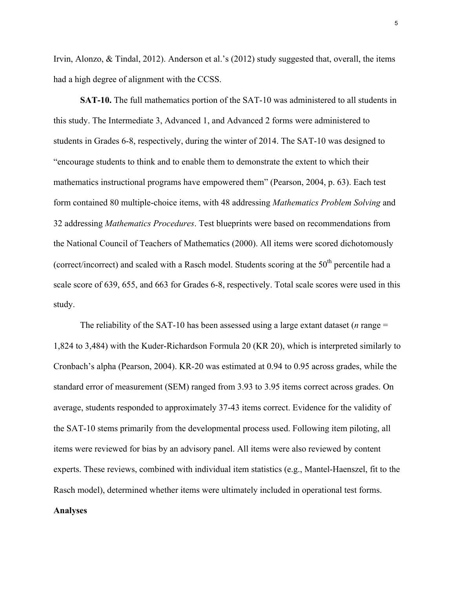Irvin, Alonzo, & Tindal, 2012). Anderson et al.'s (2012) study suggested that, overall, the items had a high degree of alignment with the CCSS.

**SAT-10.** The full mathematics portion of the SAT-10 was administered to all students in this study. The Intermediate 3, Advanced 1, and Advanced 2 forms were administered to students in Grades 6-8, respectively, during the winter of 2014. The SAT-10 was designed to "encourage students to think and to enable them to demonstrate the extent to which their mathematics instructional programs have empowered them" (Pearson, 2004, p. 63). Each test form contained 80 multiple-choice items, with 48 addressing *Mathematics Problem Solving* and 32 addressing *Mathematics Procedures*. Test blueprints were based on recommendations from the National Council of Teachers of Mathematics (2000). All items were scored dichotomously (correct/incorrect) and scaled with a Rasch model. Students scoring at the  $50<sup>th</sup>$  percentile had a scale score of 639, 655, and 663 for Grades 6-8, respectively. Total scale scores were used in this study.

The reliability of the SAT-10 has been assessed using a large extant dataset (*n* range = 1,824 to 3,484) with the Kuder-Richardson Formula 20 (KR 20), which is interpreted similarly to Cronbach's alpha (Pearson, 2004). KR-20 was estimated at 0.94 to 0.95 across grades, while the standard error of measurement (SEM) ranged from 3.93 to 3.95 items correct across grades. On average, students responded to approximately 37-43 items correct. Evidence for the validity of the SAT-10 stems primarily from the developmental process used. Following item piloting, all items were reviewed for bias by an advisory panel. All items were also reviewed by content experts. These reviews, combined with individual item statistics (e.g., Mantel-Haenszel, fit to the Rasch model), determined whether items were ultimately included in operational test forms. **Analyses**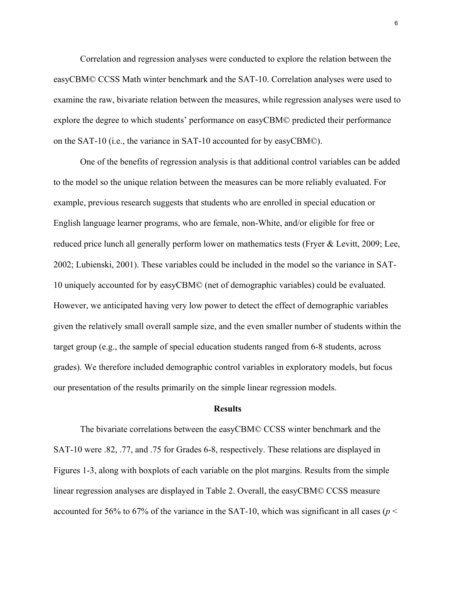Correlation and regression analyses were conducted to explore the relation between the easyCBM© CCSS Math winter benchmark and the SAT-10. Correlation analyses were used to examine the raw, bivariate relation between the measures, while regression analyses were used to explore the degree to which students' performance on easyCBM© predicted their performance on the SAT-10 (i.e., the variance in SAT-10 accounted for by easyCBM©).

One of the benefits of regression analysis is that additional control variables can be added to the model so the unique relation between the measures can be more reliably evaluated. For example, previous research suggests that students who are enrolled in special education or English language learner programs, who are female, non-White, and/or eligible for free or reduced price lunch all generally perform lower on mathematics tests (Fryer & Levitt, 2009; Lee, 2002; Lubienski, 2001). These variables could be included in the model so the variance in SAT-10 uniquely accounted for by easyCBM© (net of demographic variables) could be evaluated. However, we anticipated having very low power to detect the effect of demographic variables given the relatively small overall sample size, and the even smaller number of students within the target group (e.g., the sample of special education students ranged from 6-8 students, across grades). We therefore included demographic control variables in exploratory models, but focus our presentation of the results primarily on the simple linear regression models.

## **Results**

The bivariate correlations between the easyCBM© CCSS winter benchmark and the SAT-10 were .82, .77, and .75 for Grades 6-8, respectively. These relations are displayed in Figures 1-3, along with boxplots of each variable on the plot margins. Results from the simple linear regression analyses are displayed in Table 2. Overall, the easyCBM© CCSS measure accounted for 56% to 67% of the variance in the SAT-10, which was significant in all cases ( $p <$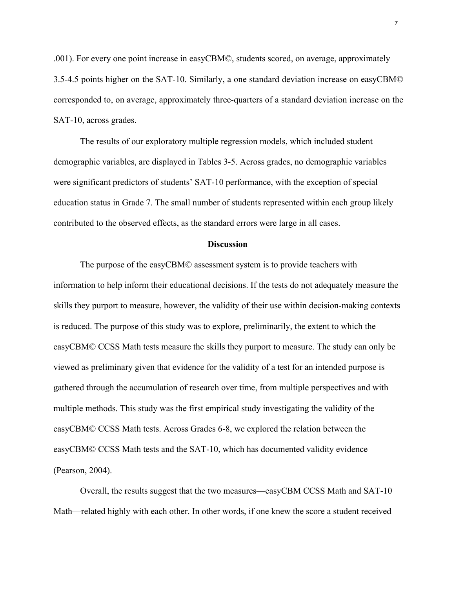.001). For every one point increase in easyCBM©, students scored, on average, approximately 3.5-4.5 points higher on the SAT-10. Similarly, a one standard deviation increase on easyCBM© corresponded to, on average, approximately three-quarters of a standard deviation increase on the SAT-10, across grades.

The results of our exploratory multiple regression models, which included student demographic variables, are displayed in Tables 3-5. Across grades, no demographic variables were significant predictors of students' SAT-10 performance, with the exception of special education status in Grade 7. The small number of students represented within each group likely contributed to the observed effects, as the standard errors were large in all cases.

### **Discussion**

The purpose of the easyCBM© assessment system is to provide teachers with information to help inform their educational decisions. If the tests do not adequately measure the skills they purport to measure, however, the validity of their use within decision-making contexts is reduced. The purpose of this study was to explore, preliminarily, the extent to which the easyCBM© CCSS Math tests measure the skills they purport to measure. The study can only be viewed as preliminary given that evidence for the validity of a test for an intended purpose is gathered through the accumulation of research over time, from multiple perspectives and with multiple methods. This study was the first empirical study investigating the validity of the easyCBM© CCSS Math tests. Across Grades 6-8, we explored the relation between the easyCBM© CCSS Math tests and the SAT-10, which has documented validity evidence (Pearson, 2004).

Overall, the results suggest that the two measures—easyCBM CCSS Math and SAT-10 Math—related highly with each other. In other words, if one knew the score a student received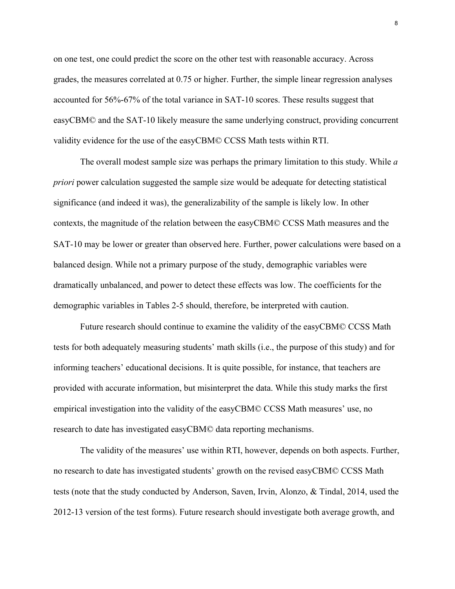on one test, one could predict the score on the other test with reasonable accuracy. Across grades, the measures correlated at 0.75 or higher. Further, the simple linear regression analyses accounted for 56%-67% of the total variance in SAT-10 scores. These results suggest that easyCBM© and the SAT-10 likely measure the same underlying construct, providing concurrent validity evidence for the use of the easyCBM© CCSS Math tests within RTI.

The overall modest sample size was perhaps the primary limitation to this study. While *a priori* power calculation suggested the sample size would be adequate for detecting statistical significance (and indeed it was), the generalizability of the sample is likely low. In other contexts, the magnitude of the relation between the easyCBM© CCSS Math measures and the SAT-10 may be lower or greater than observed here. Further, power calculations were based on a balanced design. While not a primary purpose of the study, demographic variables were dramatically unbalanced, and power to detect these effects was low. The coefficients for the demographic variables in Tables 2-5 should, therefore, be interpreted with caution.

Future research should continue to examine the validity of the easyCBM© CCSS Math tests for both adequately measuring students' math skills (i.e., the purpose of this study) and for informing teachers' educational decisions. It is quite possible, for instance, that teachers are provided with accurate information, but misinterpret the data. While this study marks the first empirical investigation into the validity of the easyCBM© CCSS Math measures' use, no research to date has investigated easyCBM© data reporting mechanisms.

The validity of the measures' use within RTI, however, depends on both aspects. Further, no research to date has investigated students' growth on the revised easyCBM© CCSS Math tests (note that the study conducted by Anderson, Saven, Irvin, Alonzo, & Tindal, 2014, used the 2012-13 version of the test forms). Future research should investigate both average growth, and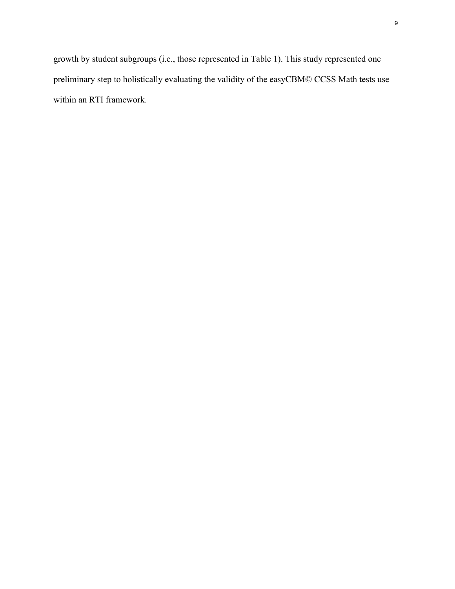growth by student subgroups (i.e., those represented in Table 1). This study represented one preliminary step to holistically evaluating the validity of the easyCBM© CCSS Math tests use within an RTI framework.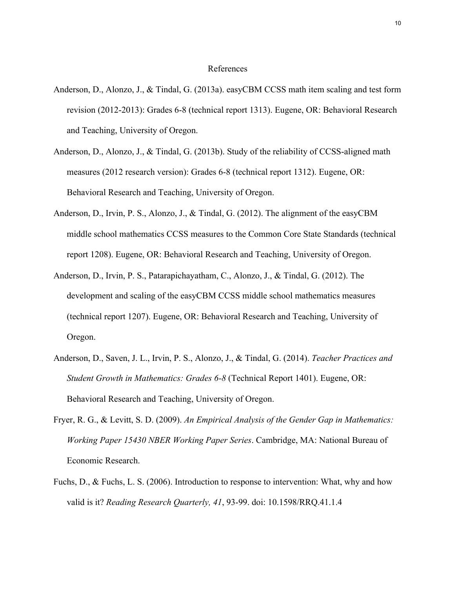### References

- Anderson, D., Alonzo, J., & Tindal, G. (2013a). easyCBM CCSS math item scaling and test form revision (2012-2013): Grades 6-8 (technical report 1313). Eugene, OR: Behavioral Research and Teaching, University of Oregon.
- Anderson, D., Alonzo, J., & Tindal, G. (2013b). Study of the reliability of CCSS-aligned math measures (2012 research version): Grades 6-8 (technical report 1312). Eugene, OR: Behavioral Research and Teaching, University of Oregon.
- Anderson, D., Irvin, P. S., Alonzo, J., & Tindal, G. (2012). The alignment of the easyCBM middle school mathematics CCSS measures to the Common Core State Standards (technical report 1208). Eugene, OR: Behavioral Research and Teaching, University of Oregon.
- Anderson, D., Irvin, P. S., Patarapichayatham, C., Alonzo, J., & Tindal, G. (2012). The development and scaling of the easyCBM CCSS middle school mathematics measures (technical report 1207). Eugene, OR: Behavioral Research and Teaching, University of Oregon.
- Anderson, D., Saven, J. L., Irvin, P. S., Alonzo, J., & Tindal, G. (2014). *Teacher Practices and Student Growth in Mathematics: Grades 6-8* (Technical Report 1401). Eugene, OR: Behavioral Research and Teaching, University of Oregon.
- Fryer, R. G., & Levitt, S. D. (2009). *An Empirical Analysis of the Gender Gap in Mathematics: Working Paper 15430 NBER Working Paper Series*. Cambridge, MA: National Bureau of Economic Research.
- Fuchs, D., & Fuchs, L. S. (2006). Introduction to response to intervention: What, why and how valid is it? *Reading Research Quarterly, 41*, 93-99. doi: 10.1598/RRQ.41.1.4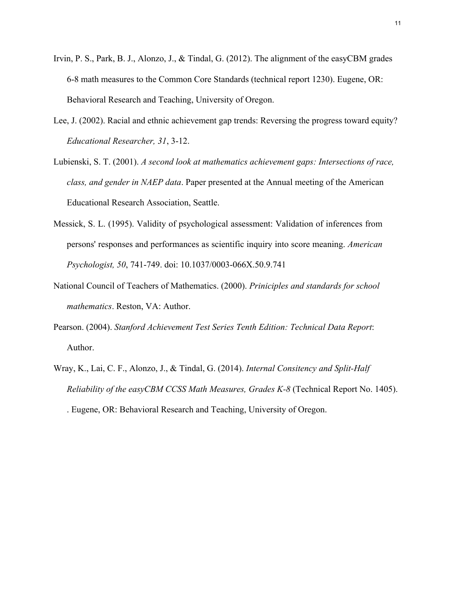- Irvin, P. S., Park, B. J., Alonzo, J., & Tindal, G. (2012). The alignment of the easyCBM grades 6-8 math measures to the Common Core Standards (technical report 1230). Eugene, OR: Behavioral Research and Teaching, University of Oregon.
- Lee, J. (2002). Racial and ethnic achievement gap trends: Reversing the progress toward equity? *Educational Researcher, 31*, 3-12.
- Lubienski, S. T. (2001). *A second look at mathematics achievement gaps: Intersections of race, class, and gender in NAEP data*. Paper presented at the Annual meeting of the American Educational Research Association, Seattle.
- Messick, S. L. (1995). Validity of psychological assessment: Validation of inferences from persons' responses and performances as scientific inquiry into score meaning. *American Psychologist, 50*, 741-749. doi: 10.1037/0003-066X.50.9.741
- National Council of Teachers of Mathematics. (2000). *Priniciples and standards for school mathematics*. Reston, VA: Author.
- Pearson. (2004). *Stanford Achievement Test Series Tenth Edition: Technical Data Report*: Author.
- Wray, K., Lai, C. F., Alonzo, J., & Tindal, G. (2014). *Internal Consitency and Split-Half Reliability of the easyCBM CCSS Math Measures, Grades K-8* (Technical Report No. 1405). . Eugene, OR: Behavioral Research and Teaching, University of Oregon.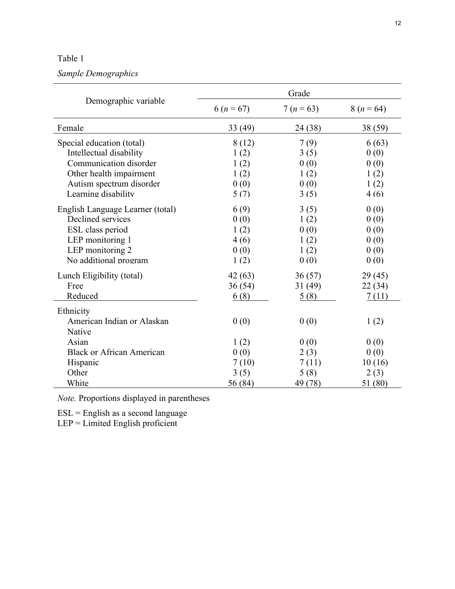*Sample Demographics*

|                                                                                                                                                              | Grade                                         |                                              |                                               |  |
|--------------------------------------------------------------------------------------------------------------------------------------------------------------|-----------------------------------------------|----------------------------------------------|-----------------------------------------------|--|
| Demographic variable                                                                                                                                         | $6 (n = 67)$                                  | $7 (n = 63)$                                 | $8(n=64)$                                     |  |
| Female                                                                                                                                                       | 33(49)                                        | 24 (38)                                      | 38 (59)                                       |  |
| Special education (total)<br>Intellectual disability<br>Communication disorder<br>Other health impairment<br>Autism spectrum disorder<br>Learning disability | 8(12)<br>1(2)<br>1(2)<br>1(2)<br>0(0)<br>5(7) | 7(9)<br>3(5)<br>0(0)<br>1(2)<br>0(0)<br>3(5) | 6(63)<br>0(0)<br>0(0)<br>1(2)<br>1(2)<br>4(6) |  |
| English Language Learner (total)<br>Declined services<br>ESL class period<br>LEP monitoring 1<br>LEP monitoring 2<br>No additional program                   | 6(9)<br>0(0)<br>1(2)<br>4(6)<br>0(0)<br>1(2)  | 3(5)<br>1(2)<br>0(0)<br>1(2)<br>1(2)<br>0(0) | 0(0)<br>0(0)<br>0(0)<br>0(0)<br>0(0)<br>0(0)  |  |
| Lunch Eligibility (total)<br>Free<br>Reduced                                                                                                                 | 42(63)<br>36(54)<br>6(8)                      | 36(57)<br>31(49)<br>5(8)                     | 29(45)<br>22(34)<br>7(11)                     |  |
| Ethnicity<br>American Indian or Alaskan<br>Native                                                                                                            | 0(0)                                          | 0(0)                                         | 1(2)                                          |  |
| Asian<br><b>Black or African American</b><br>Hispanic<br>Other                                                                                               | 1(2)<br>0(0)<br>7(10)<br>3(5)                 | 0(0)<br>2(3)<br>7(11)<br>5(8)                | 0(0)<br>0(0)<br>10(16)<br>2(3)                |  |
| White                                                                                                                                                        | 56(84)                                        | 49 (78)                                      | 51 (80)                                       |  |

*Note.* Proportions displayed in parentheses

ESL = English as a second language

LEP = Limited English proficient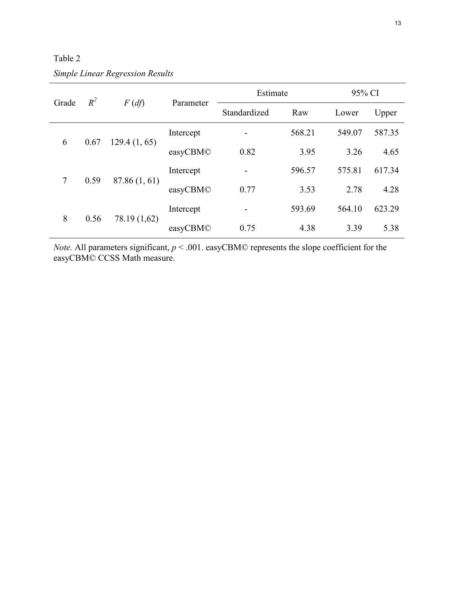Table 2

*Simple Linear Regression Results*

| $R^2$<br>$F(d\mathfrak{f})$<br>Grade    |              |           | Parameter    | Estimate |        | 95% CI |  |
|-----------------------------------------|--------------|-----------|--------------|----------|--------|--------|--|
|                                         |              |           | Standardized | Raw      | Lower  | Upper  |  |
| 6<br>0.67<br>129.4(1, 65)               |              | Intercept |              | 568.21   | 549.07 | 587.35 |  |
|                                         |              | easyCBM©  | 0.82         | 3.95     | 3.26   | 4.65   |  |
| $7\phantom{.0}$<br>0.59<br>87.86(1, 61) |              | Intercept |              | 596.57   | 575.81 | 617.34 |  |
|                                         |              | easyCBM©  | 0.77         | 3.53     | 2.78   | 4.28   |  |
| 8<br>0.56                               | 78.19 (1,62) | Intercept | -            | 593.69   | 564.10 | 623.29 |  |
|                                         |              | easyCBM©  | 0.75         | 4.38     | 3.39   | 5.38   |  |

*Note.* All parameters significant, *p* < .001. easyCBM© represents the slope coefficient for the easyCBM© CCSS Math measure.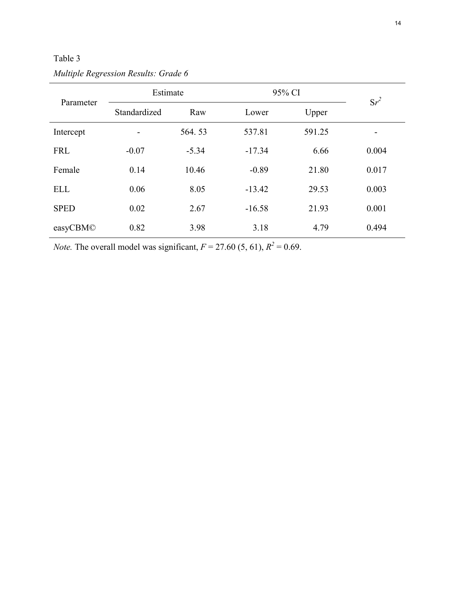| Parameter   | Estimate     |         | 95% CI   |        | $Sr^2$ |
|-------------|--------------|---------|----------|--------|--------|
|             | Standardized | Raw     | Lower    | Upper  |        |
| Intercept   |              | 564.53  | 537.81   | 591.25 |        |
| <b>FRL</b>  | $-0.07$      | $-5.34$ | $-17.34$ | 6.66   | 0.004  |
| Female      | 0.14         | 10.46   | $-0.89$  | 21.80  | 0.017  |
| <b>ELL</b>  | 0.06         | 8.05    | $-13.42$ | 29.53  | 0.003  |
| <b>SPED</b> | 0.02         | 2.67    | $-16.58$ | 21.93  | 0.001  |
| easyCBM©    | 0.82         | 3.98    | 3.18     | 4.79   | 0.494  |

*Multiple Regression Results: Grade 6*

*Note.* The overall model was significant,  $F = 27.60 (5, 61)$ ,  $R^2 = 0.69$ .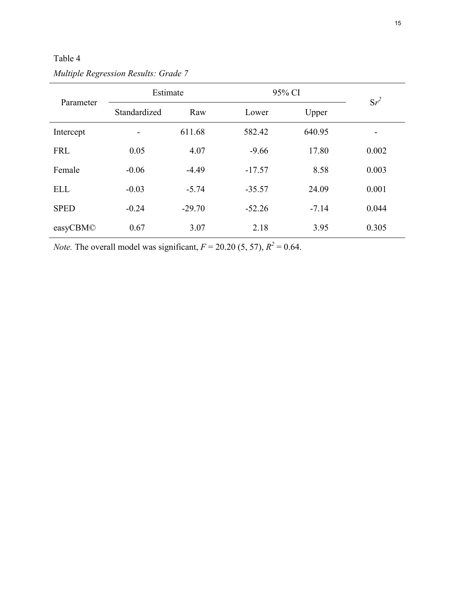| Parameter   | Estimate     |          | 95% CI   |         | $Sr^2$ |
|-------------|--------------|----------|----------|---------|--------|
|             | Standardized | Raw      | Lower    | Upper   |        |
| Intercept   |              | 611.68   | 582.42   | 640.95  | -      |
| <b>FRL</b>  | 0.05         | 4.07     | $-9.66$  | 17.80   | 0.002  |
| Female      | $-0.06$      | $-4.49$  | $-17.57$ | 8.58    | 0.003  |
| <b>ELL</b>  | $-0.03$      | $-5.74$  | $-35.57$ | 24.09   | 0.001  |
| <b>SPED</b> | $-0.24$      | $-29.70$ | $-52.26$ | $-7.14$ | 0.044  |
| easyCBM©    | 0.67         | 3.07     | 2.18     | 3.95    | 0.305  |

*Multiple Regression Results: Grade 7*

*Note.* The overall model was significant,  $F = 20.20$  (5, 57),  $R^2 = 0.64$ .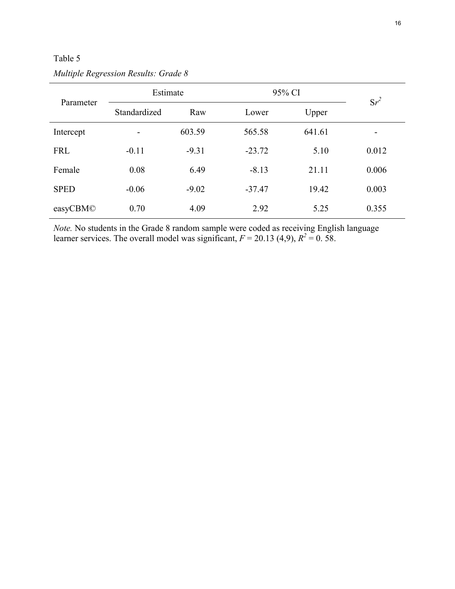| Parameter   | Estimate     |         | 95% CI   |        | $Sr^2$ |
|-------------|--------------|---------|----------|--------|--------|
|             | Standardized | Raw     | Lower    | Upper  |        |
| Intercept   | -            | 603.59  | 565.58   | 641.61 | -      |
| <b>FRL</b>  | $-0.11$      | $-9.31$ | $-23.72$ | 5.10   | 0.012  |
| Female      | 0.08         | 6.49    | $-8.13$  | 21.11  | 0.006  |
| <b>SPED</b> | $-0.06$      | $-9.02$ | $-37.47$ | 19.42  | 0.003  |
| easyCBM©    | 0.70         | 4.09    | 2.92     | 5.25   | 0.355  |

*Multiple Regression Results: Grade 8*

*Note.* No students in the Grade 8 random sample were coded as receiving English language learner services. The overall model was significant,  $F = 20.13$  (4,9),  $R^2 = 0.58$ .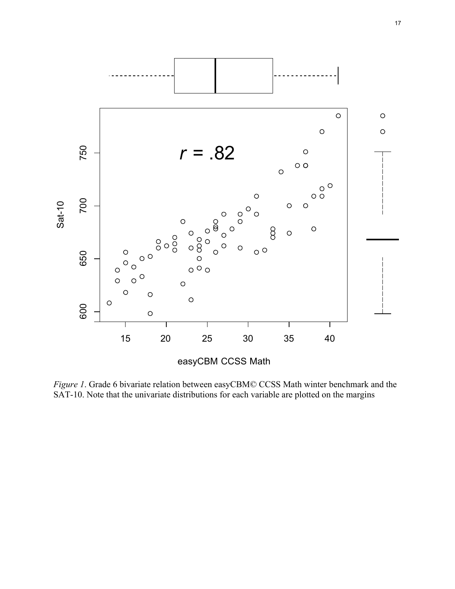

*Figure 1*. Grade 6 bivariate relation between easyCBM© CCSS Math winter benchmark and the SAT-10. Note that the univariate distributions for each variable are plotted on the margins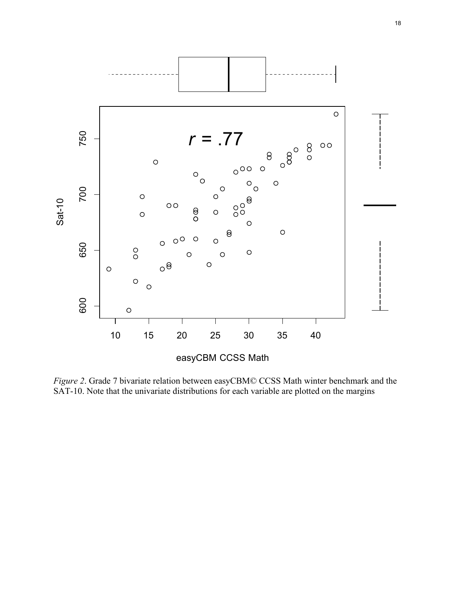

*Figure 2*. Grade 7 bivariate relation between easyCBM© CCSS Math winter benchmark and the SAT-10. Note that the univariate distributions for each variable are plotted on the margins